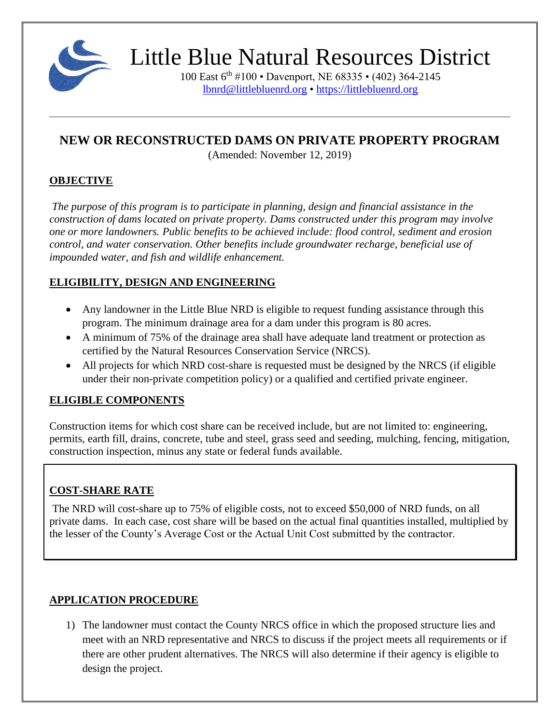

100 East 6th #100 • Davenport, NE 68335 • (402) 364-2145 [lbnrd@littlebluenrd.org](mailto:lbnrd@littlebluenrd.org) • [https://littlebluenrd.org](https://littlebluenrd.org/)

## **NEW OR RECONSTRUCTED DAMS ON PRIVATE PROPERTY PROGRAM**

(Amended: November 12, 2019)

### **OBJECTIVE**

*The purpose of this program is to participate in planning, design and financial assistance in the construction of dams located on private property. Dams constructed under this program may involve one or more landowners. Public benefits to be achieved include: flood control, sediment and erosion control, and water conservation. Other benefits include groundwater recharge, beneficial use of impounded water, and fish and wildlife enhancement.*

## **ELIGIBILITY, DESIGN AND ENGINEERING**

- Any landowner in the Little Blue NRD is eligible to request funding assistance through this program. The minimum drainage area for a dam under this program is 80 acres.
- A minimum of 75% of the drainage area shall have adequate land treatment or protection as certified by the Natural Resources Conservation Service (NRCS).
- All projects for which NRD cost-share is requested must be designed by the NRCS (if eligible under their non-private competition policy) or a qualified and certified private engineer.

## **ELIGIBLE COMPONENTS**

Construction items for which cost share can be received include, but are not limited to: engineering, permits, earth fill, drains, concrete, tube and steel, grass seed and seeding, mulching, fencing, mitigation, construction inspection, minus any state or federal funds available.

## **COST-SHARE RATE**

The NRD will cost-share up to 75% of eligible costs, not to exceed \$50,000 of NRD funds, on all private dams. In each case, cost share will be based on the actual final quantities installed, multiplied by the lesser of the County's Average Cost or the Actual Unit Cost submitted by the contractor.

## **APPLICATION PROCEDURE**

1) The landowner must contact the County NRCS office in which the proposed structure lies and meet with an NRD representative and NRCS to discuss if the project meets all requirements or if there are other prudent alternatives. The NRCS will also determine if their agency is eligible to design the project.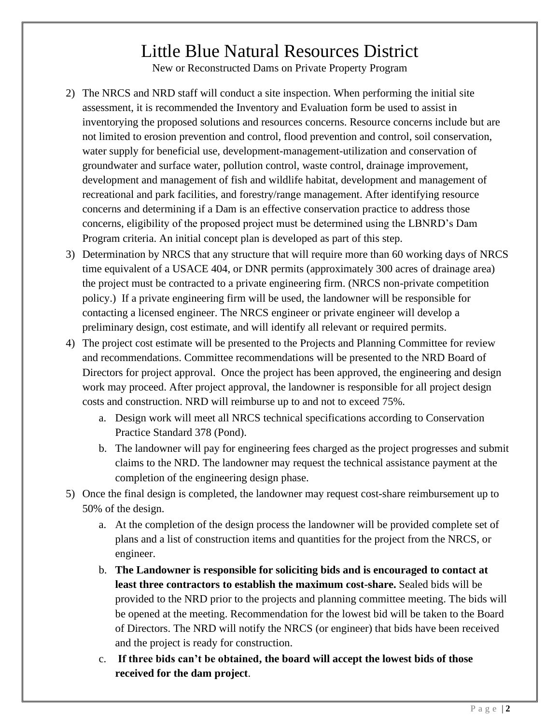New or Reconstructed Dams on Private Property Program

- 2) The NRCS and NRD staff will conduct a site inspection. When performing the initial site assessment, it is recommended the Inventory and Evaluation form be used to assist in inventorying the proposed solutions and resources concerns. Resource concerns include but are not limited to erosion prevention and control, flood prevention and control, soil conservation, water supply for beneficial use, development-management-utilization and conservation of groundwater and surface water, pollution control, waste control, drainage improvement, development and management of fish and wildlife habitat, development and management of recreational and park facilities, and forestry/range management. After identifying resource concerns and determining if a Dam is an effective conservation practice to address those concerns, eligibility of the proposed project must be determined using the LBNRD's Dam Program criteria. An initial concept plan is developed as part of this step.
- 3) Determination by NRCS that any structure that will require more than 60 working days of NRCS time equivalent of a USACE 404, or DNR permits (approximately 300 acres of drainage area) the project must be contracted to a private engineering firm. (NRCS non-private competition policy.) If a private engineering firm will be used, the landowner will be responsible for contacting a licensed engineer. The NRCS engineer or private engineer will develop a preliminary design, cost estimate, and will identify all relevant or required permits.
- 4) The project cost estimate will be presented to the Projects and Planning Committee for review and recommendations. Committee recommendations will be presented to the NRD Board of Directors for project approval. Once the project has been approved, the engineering and design work may proceed. After project approval, the landowner is responsible for all project design costs and construction. NRD will reimburse up to and not to exceed 75%.
	- a. Design work will meet all NRCS technical specifications according to Conservation Practice Standard 378 (Pond).
	- b. The landowner will pay for engineering fees charged as the project progresses and submit claims to the NRD. The landowner may request the technical assistance payment at the completion of the engineering design phase.
- 5) Once the final design is completed, the landowner may request cost-share reimbursement up to 50% of the design.
	- a. At the completion of the design process the landowner will be provided complete set of plans and a list of construction items and quantities for the project from the NRCS, or engineer.
	- b. **The Landowner is responsible for soliciting bids and is encouraged to contact at least three contractors to establish the maximum cost-share.** Sealed bids will be provided to the NRD prior to the projects and planning committee meeting. The bids will be opened at the meeting. Recommendation for the lowest bid will be taken to the Board of Directors. The NRD will notify the NRCS (or engineer) that bids have been received and the project is ready for construction.
	- c. **If three bids can't be obtained, the board will accept the lowest bids of those received for the dam project**.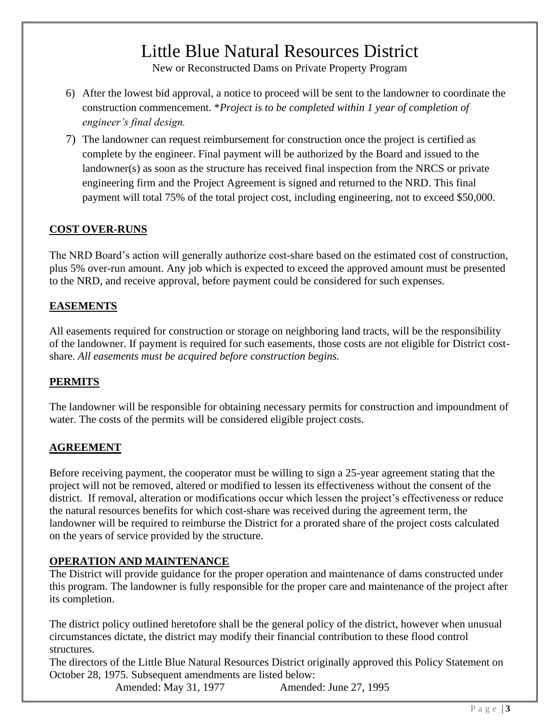New or Reconstructed Dams on Private Property Program

- 6) After the lowest bid approval, a notice to proceed will be sent to the landowner to coordinate the construction commencement. \**Project is to be completed within 1 year of completion of engineer's final design.*
- 7) The landowner can request reimbursement for construction once the project is certified as complete by the engineer. Final payment will be authorized by the Board and issued to the landowner(s) as soon as the structure has received final inspection from the NRCS or private engineering firm and the Project Agreement is signed and returned to the NRD. This final payment will total 75% of the total project cost, including engineering, not to exceed \$50,000.

### **COST OVER-RUNS**

The NRD Board's action will generally authorize cost-share based on the estimated cost of construction, plus 5% over-run amount. Any job which is expected to exceed the approved amount must be presented to the NRD, and receive approval, before payment could be considered for such expenses.

### **EASEMENTS**

All easements required for construction or storage on neighboring land tracts, will be the responsibility of the landowner. If payment is required for such easements, those costs are not eligible for District costshare. *All easements must be acquired before construction begins.*

#### **PERMITS**

The landowner will be responsible for obtaining necessary permits for construction and impoundment of water. The costs of the permits will be considered eligible project costs.

#### **AGREEMENT**

Before receiving payment, the cooperator must be willing to sign a 25-year agreement stating that the project will not be removed, altered or modified to lessen its effectiveness without the consent of the district. If removal, alteration or modifications occur which lessen the project's effectiveness or reduce the natural resources benefits for which cost-share was received during the agreement term, the landowner will be required to reimburse the District for a prorated share of the project costs calculated on the years of service provided by the structure.

#### **OPERATION AND MAINTENANCE**

The District will provide guidance for the proper operation and maintenance of dams constructed under this program. The landowner is fully responsible for the proper care and maintenance of the project after its completion.

The district policy outlined heretofore shall be the general policy of the district, however when unusual circumstances dictate, the district may modify their financial contribution to these flood control structures.

The directors of the Little Blue Natural Resources District originally approved this Policy Statement on October 28, 1975. Subsequent amendments are listed below:

Amended: May 31, 1977 **Amended: June 27, 1995**